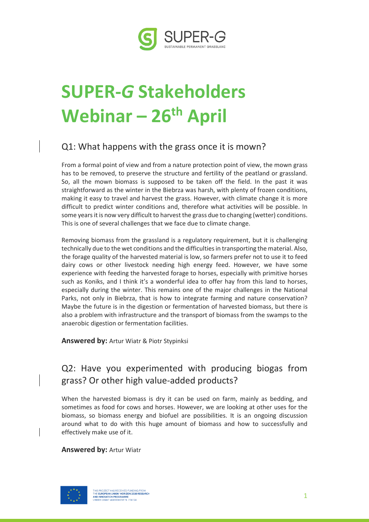

# **SUPER-***G* **Stakeholders Webinar – 26th April**

## Q1: What happens with the grass once it is mown?

From a formal point of view and from a nature protection point of view, the mown grass has to be removed, to preserve the structure and fertility of the peatland or grassland. So, all the mown biomass is supposed to be taken off the field. In the past it was straightforward as the winter in the Biebrza was harsh, with plenty of frozen conditions, making it easy to travel and harvest the grass. However, with climate change it is more difficult to predict winter conditions and, therefore what activities will be possible. In some years it is now very difficult to harvest the grass due to changing (wetter) conditions. This is one of several challenges that we face due to climate change.

Removing biomass from the grassland is a regulatory requirement, but it is challenging technically due to the wet conditions and the difficulties in transporting the material. Also, the forage quality of the harvested material is low, so farmers prefer not to use it to feed dairy cows or other livestock needing high energy feed. However, we have some experience with feeding the harvested forage to horses, especially with primitive horses such as Koniks, and I think it's a wonderful idea to offer hay from this land to horses, especially during the winter. This remains one of the major challenges in the National Parks, not only in Biebrza, that is how to integrate farming and nature conservation? Maybe the future is in the digestion or fermentation of harvested biomass, but there is also a problem with infrastructure and the transport of biomass from the swamps to the anaerobic digestion or fermentation facilities.

**Answered by:** Artur Wiatr & Piotr Stypinksi

## Q2: Have you experimented with producing biogas from grass? Or other high value-added products?

When the harvested biomass is dry it can be used on farm, mainly as bedding, and sometimes as food for cows and horses. However, we are looking at other uses for the biomass, so biomass energy and biofuel are possibilities. It is an ongoing discussion around what to do with this huge amount of biomass and how to successfully and effectively make use of it.

#### **Answered by:** Artur Wiatr

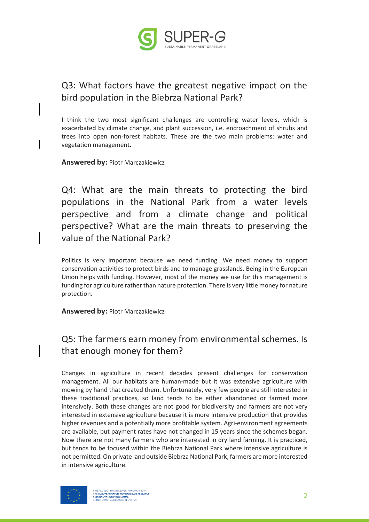

## Q3: What factors have the greatest negative impact on the bird population in the Biebrza National Park?

I think the two most significant challenges are controlling water levels, which is exacerbated by climate change, and plant succession, i.e. encroachment of shrubs and trees into open non-forest habitats. These are the two main problems: water and vegetation management.

**Answered by:** Piotr Marczakiewicz

Q4: What are the main threats to protecting the bird populations in the National Park from a water levels perspective and from a climate change and political perspective? What are the main threats to preserving the value of the National Park?

Politics is very important because we need funding. We need money to support conservation activities to protect birds and to manage grasslands. Being in the European Union helps with funding. However, most of the money we use for this management is funding for agriculture rather than nature protection. There is very little money for nature protection.

**Answered by:** Piotr Marczakiewicz

## Q5: The farmers earn money from environmental schemes. Is that enough money for them?

Changes in agriculture in recent decades present challenges for conservation management. All our habitats are human-made but it was extensive agriculture with mowing by hand that created them. Unfortunately, very few people are still interested in these traditional practices, so land tends to be either abandoned or farmed more intensively. Both these changes are not good for biodiversity and farmers are not very interested in extensive agriculture because it is more intensive production that provides higher revenues and a potentially more profitable system. Agri-environment agreements are available, but payment rates have not changed in 15 years since the schemes began. Now there are not many farmers who are interested in dry land farming. It is practiced, but tends to be focused within the Biebrza National Park where intensive agriculture is not permitted. On private land outside Biebrza National Park, farmers are more interested in intensive agriculture.

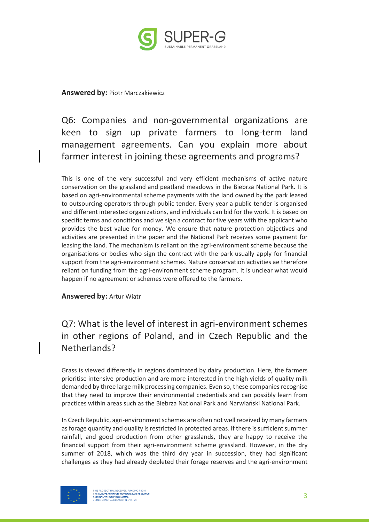

#### **Answered by:** Piotr Marczakiewicz

# Q6: Companies and non-governmental organizations are keen to sign up private farmers to long-term land management agreements. Can you explain more about farmer interest in joining these agreements and programs?

This is one of the very successful and very efficient mechanisms of active nature conservation on the grassland and peatland meadows in the Biebrza National Park. It is based on agri-environmental scheme payments with the land owned by the park leased to outsourcing operators through public tender. Every year a public tender is organised and different interested organizations, and individuals can bid for the work. It is based on specific terms and conditions and we sign a contract for five years with the applicant who provides the best value for money. We ensure that nature protection objectives and activities are presented in the paper and the National Park receives some payment for leasing the land. The mechanism is reliant on the agri-environment scheme because the organisations or bodies who sign the contract with the park usually apply for financial support from the agri-environment schemes. Nature conservation activities ae therefore reliant on funding from the agri-environment scheme program. It is unclear what would happen if no agreement or schemes were offered to the farmers.

**Answered by:** Artur Wiatr

## Q7: What is the level of interest in agri-environment schemes in other regions of Poland, and in Czech Republic and the Netherlands?

Grass is viewed differently in regions dominated by dairy production. Here, the farmers prioritise intensive production and are more interested in the high yields of quality milk demanded by three large milk processing companies. Even so, these companies recognise that they need to improve their environmental credentials and can possibly learn from practices within areas such as the Biebrza National Park and Narwiański National Park.

In Czech Republic, agri-environment schemes are often not well received by many farmers as forage quantity and quality is restricted in protected areas. If there is sufficient summer rainfall, and good production from other grasslands, they are happy to receive the financial support from their agri-environment scheme grassland. However, in the dry summer of 2018, which was the third dry year in succession, they had significant challenges as they had already depleted their forage reserves and the agri-environment

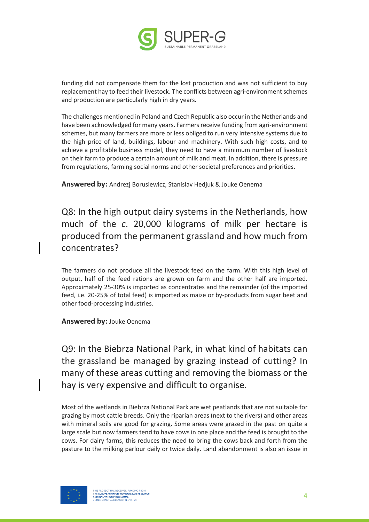

funding did not compensate them for the lost production and was not sufficient to buy replacement hay to feed their livestock. The conflicts between agri-environment schemes and production are particularly high in dry years.

The challenges mentioned in Poland and Czech Republic also occur in the Netherlands and have been acknowledged for many years. Farmers receive funding from agri-environment schemes, but many farmers are more or less obliged to run very intensive systems due to the high price of land, buildings, labour and machinery. With such high costs, and to achieve a profitable business model, they need to have a minimum number of livestock on their farm to produce a certain amount of milk and meat. In addition, there is pressure from regulations, farming social norms and other societal preferences and priorities.

**Answered by:** Andrezj Borusiewicz, Stanislav Hedjuk & Jouke Oenema

Q8: In the high output dairy systems in the Netherlands, how much of the *c*. 20,000 kilograms of milk per hectare is produced from the permanent grassland and how much from concentrates?

The farmers do not produce all the livestock feed on the farm. With this high level of output, half of the feed rations are grown on farm and the other half are imported. Approximately 25-30% is imported as concentrates and the remainder (of the imported feed, i.e. 20-25% of total feed) is imported as maize or by-products from sugar beet and other food-processing industries.

**Answered by:** Jouke Oenema

Q9: In the Biebrza National Park, in what kind of habitats can the grassland be managed by grazing instead of cutting? In many of these areas cutting and removing the biomass or the hay is very expensive and difficult to organise.

Most of the wetlands in Biebrza National Park are wet peatlands that are not suitable for grazing by most cattle breeds. Only the riparian areas (next to the rivers) and other areas with mineral soils are good for grazing. Some areas were grazed in the past on quite a large scale but now farmers tend to have cows in one place and the feed is brought to the cows. For dairy farms, this reduces the need to bring the cows back and forth from the pasture to the milking parlour daily or twice daily. Land abandonment is also an issue in

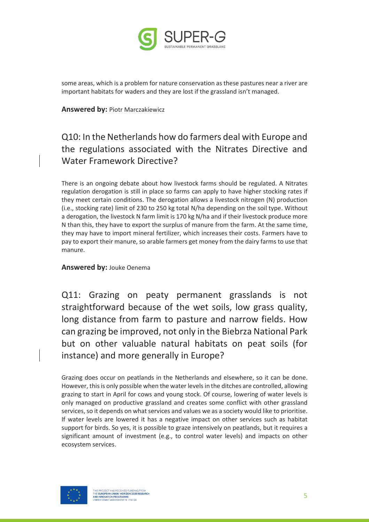

some areas, which is a problem for nature conservation as these pastures near a river are important habitats for waders and they are lost if the grassland isn't managed.

**Answered by:** Piotr Marczakiewicz

# Q10: In the Netherlands how do farmers deal with Europe and the regulations associated with the Nitrates Directive and Water Framework Directive?

There is an ongoing debate about how livestock farms should be regulated. A Nitrates regulation derogation is still in place so farms can apply to have higher stocking rates if they meet certain conditions. The derogation allows a livestock nitrogen (N) production (i.e., stocking rate) limit of 230 to 250 kg total N/ha depending on the soil type. Without a derogation, the livestock N farm limit is 170 kg N/ha and if their livestock produce more N than this, they have to export the surplus of manure from the farm. At the same time, they may have to import mineral fertilizer, which increases their costs. Farmers have to pay to export their manure, so arable farmers get money from the dairy farms to use that manure.

#### **Answered by:** Jouke Oenema

Q11: Grazing on peaty permanent grasslands is not straightforward because of the wet soils, low grass quality, long distance from farm to pasture and narrow fields. How can grazing be improved, not only in the Biebrza National Park but on other valuable natural habitats on peat soils (for instance) and more generally in Europe?

Grazing does occur on peatlands in the Netherlands and elsewhere, so it can be done. However, this is only possible when the water levelsin the ditches are controlled, allowing grazing to start in April for cows and young stock. Of course, lowering of water levels is only managed on productive grassland and creates some conflict with other grassland services, so it depends on what services and values we as a society would like to prioritise. If water levels are lowered it has a negative impact on other services such as habitat support for birds. So yes, it is possible to graze intensively on peatlands, but it requires a significant amount of investment (e.g., to control water levels) and impacts on other ecosystem services.

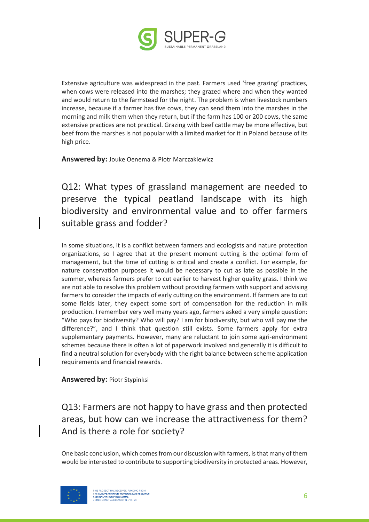

Extensive agriculture was widespread in the past. Farmers used 'free grazing' practices, when cows were released into the marshes; they grazed where and when they wanted and would return to the farmstead for the night. The problem is when livestock numbers increase, because if a farmer has five cows, they can send them into the marshes in the morning and milk them when they return, but if the farm has 100 or 200 cows, the same extensive practices are not practical. Grazing with beef cattle may be more effective, but beef from the marshes is not popular with a limited market for it in Poland because of its high price.

**Answered by:** Jouke Oenema & Piotr Marczakiewicz

Q12: What types of grassland management are needed to preserve the typical peatland landscape with its high biodiversity and environmental value and to offer farmers suitable grass and fodder?

In some situations, it is a conflict between farmers and ecologists and nature protection organizations, so I agree that at the present moment cutting is the optimal form of management, but the time of cutting is critical and create a conflict. For example, for nature conservation purposes it would be necessary to cut as late as possible in the summer, whereas farmers prefer to cut earlier to harvest higher quality grass. I think we are not able to resolve this problem without providing farmers with support and advising farmers to consider the impacts of early cutting on the environment. If farmers are to cut some fields later, they expect some sort of compensation for the reduction in milk production. I remember very well many years ago, farmers asked a very simple question: "Who pays for biodiversity? Who will pay? I am for biodiversity, but who will pay me the difference?", and I think that question still exists. Some farmers apply for extra supplementary payments. However, many are reluctant to join some agri-environment schemes because there is often a lot of paperwork involved and generally it is difficult to find a neutral solution for everybody with the right balance between scheme application requirements and financial rewards.

**Answered by:** Piotr Stypinksi

Q13: Farmers are not happy to have grass and then protected areas, but how can we increase the attractiveness for them? And is there a role for society?

One basic conclusion, which comes from our discussion with farmers, is that many of them would be interested to contribute to supporting biodiversity in protected areas. However,